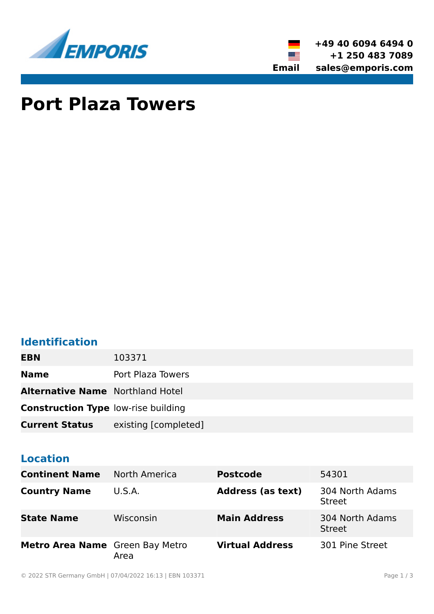



# **Port Plaza Towers**

### **Identification**

| <b>EBN</b>                                 | 103371               |
|--------------------------------------------|----------------------|
| <b>Name</b>                                | Port Plaza Towers    |
| <b>Alternative Name</b> Northland Hotel    |                      |
| <b>Construction Type low-rise building</b> |                      |
| <b>Current Status</b>                      | existing [completed] |

### **Location**

| <b>Continent Name</b>           | North America | <b>Postcode</b>          | 54301                            |
|---------------------------------|---------------|--------------------------|----------------------------------|
| <b>Country Name</b>             | U.S.A.        | <b>Address (as text)</b> | 304 North Adams<br><b>Street</b> |
| <b>State Name</b>               | Wisconsin     | <b>Main Address</b>      | 304 North Adams<br><b>Street</b> |
| Metro Area Name Green Bay Metro | Area          | <b>Virtual Address</b>   | 301 Pine Street                  |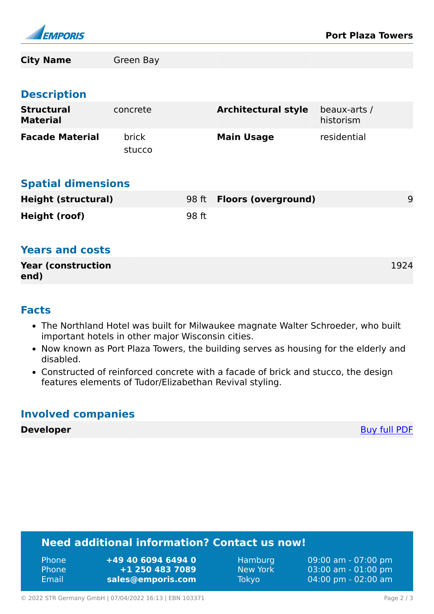

| <b>City Name</b>                     | Green Bay              |       |                            |                           |      |
|--------------------------------------|------------------------|-------|----------------------------|---------------------------|------|
|                                      |                        |       |                            |                           |      |
| <b>Description</b>                   |                        |       |                            |                           |      |
| <b>Structural</b><br><b>Material</b> | concrete               |       | <b>Architectural style</b> | beaux-arts /<br>historism |      |
| <b>Facade Material</b>               | <b>brick</b><br>stucco |       | <b>Main Usage</b>          | residential               |      |
| <b>Spatial dimensions</b>            |                        |       |                            |                           |      |
| <b>Height (structural)</b>           |                        | 98 ft | <b>Floors (overground)</b> |                           | 9    |
| Height (roof)                        |                        | 98 ft |                            |                           |      |
| <b>Years and costs</b>               |                        |       |                            |                           |      |
| <b>Year (construction</b>            |                        |       |                            |                           | 1924 |

#### **Facts**

**end)**

- The Northland Hotel was built for Milwaukee magnate Walter Schroeder, who built important hotels in other major Wisconsin cities.
- Now known as Port Plaza Towers, the building serves as housing for the elderly and disabled.
- Constructed of reinforced concrete with a facade of brick and stucco, the design features elements of Tudor/Elizabethan Revival styling.

### **Involved companies**

**Developer** [Buy full PDF](https://www.emporis.com/buildings/103371/port-plaza-towers-green-bay-wi-usa?buypdf=)

### **Need additional information? Contact us now!**

| <b>Phone</b> | +49 40 6094 6494 0 |
|--------------|--------------------|
| <b>Phone</b> | +1 250 483 7089    |
| Email        | sales@emporis.com  |

Hamburg 09:00 am - 07:00 pm New York 03:00 am - 01:00 pm Tokyo 04:00 pm - 02:00 am